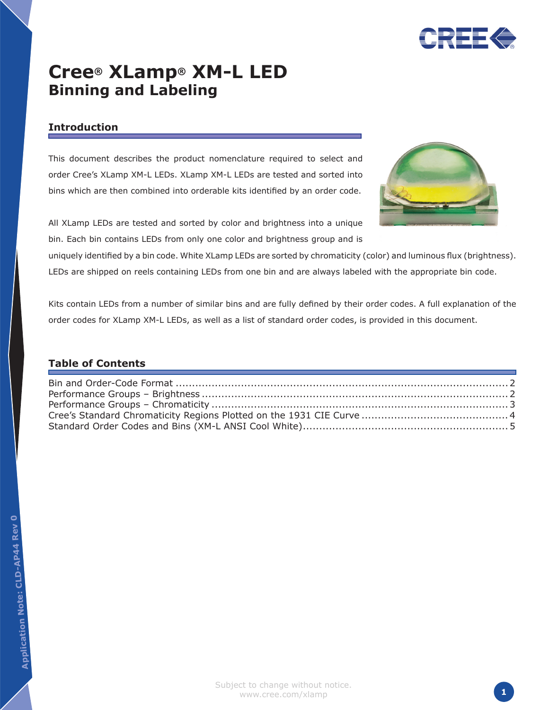

# **Cree® XLamp® XM-L LED Binning and Labeling**

## **Introduction**

This document describes the product nomenclature required to select and order Cree's XLamp XM-L LEDs. XLamp XM-L LEDs are tested and sorted into bins which are then combined into orderable kits identified by an order code.



All XLamp LEDs are tested and sorted by color and brightness into a unique bin. Each bin contains LEDs from only one color and brightness group and is

uniquely identified by a bin code. White XLamp LEDs are sorted by chromaticity (color) and luminous flux (brightness). LEDs are shipped on reels containing LEDs from one bin and are always labeled with the appropriate bin code.

Kits contain LEDs from a number of similar bins and are fully defined by their order codes. A full explanation of the order codes for XLamp XM-L LEDs, as well as a list of standard order codes, is provided in this document.

## **Table of Contents**

**0**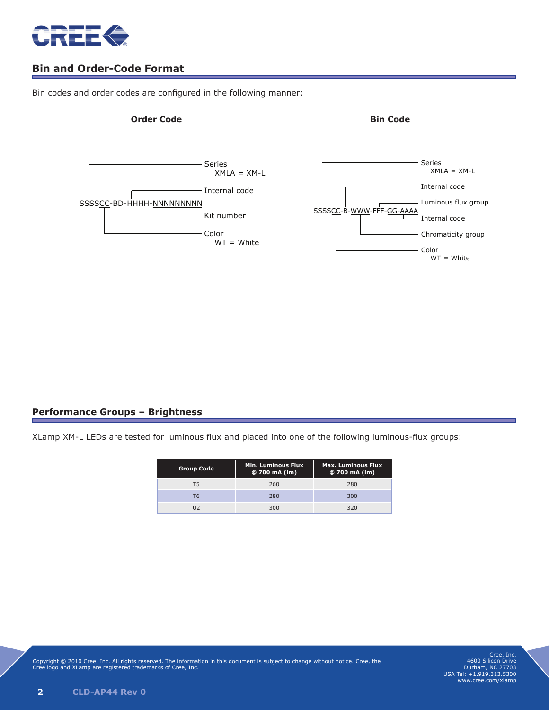<span id="page-1-0"></span>

## **Bin and Order-Code Format**

Bin codes and order codes are configured in the following manner:

#### **Order Code Bin Code**





#### **Performance Groups – Brightness**

XLamp XM-L LEDs are tested for luminous flux and placed into one of the following luminous-flux groups:

| <b>Group Code</b> | <b>Min. Luminous Flux</b><br>@ 700 mA (lm) | <b>Max. Luminous Flux</b><br>$@700$ mA (lm) |  |  |  |
|-------------------|--------------------------------------------|---------------------------------------------|--|--|--|
| т5                | 260                                        | 280                                         |  |  |  |
| Т6                | 280                                        | 300                                         |  |  |  |
|                   | 300                                        | 320                                         |  |  |  |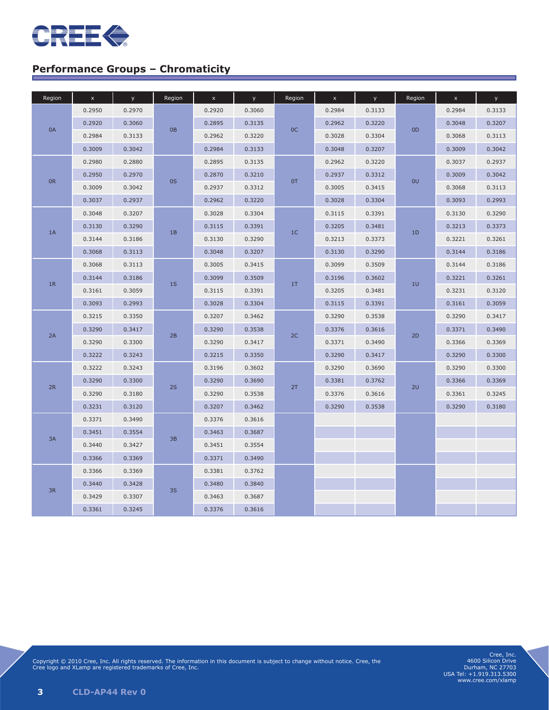<span id="page-2-0"></span>

# **Performance Groups – Chromaticity**

| Region | $\bar{\mathbf{x}}$ | y.     | Region | $\bar{\mathbf{x}}$ | y.     | Region         | $\mathsf X$ | y.     | Region | $\mathsf{x}$ | y.     |
|--------|--------------------|--------|--------|--------------------|--------|----------------|-------------|--------|--------|--------------|--------|
|        | 0.2950             | 0.2970 |        | 0.2920             | 0.3060 | OC             | 0.2984      | 0.3133 |        | 0.2984       | 0.3133 |
| 0A     | 0.2920             | 0.3060 | 0B     | 0.2895             | 0.3135 |                | 0.2962      | 0.3220 |        | 0.3048       | 0.3207 |
|        | 0.2984             | 0.3133 |        | 0.2962             | 0.3220 |                | 0.3028      | 0.3304 | OD     | 0.3068       | 0.3113 |
|        | 0.3009             | 0.3042 |        | 0.2984             | 0.3133 |                | 0.3048      | 0.3207 |        | 0.3009       | 0.3042 |
|        | 0.2980             | 0.2880 | 0S     | 0.2895             | 0.3135 | 0T             | 0.2962      | 0.3220 | 0U     | 0.3037       | 0.2937 |
|        | 0.2950             | 0.2970 |        | 0.2870             | 0.3210 |                | 0.2937      | 0.3312 |        | 0.3009       | 0.3042 |
| 0R     | 0.3009             | 0.3042 |        | 0.2937             | 0.3312 |                | 0.3005      | 0.3415 |        | 0.3068       | 0.3113 |
|        | 0.3037             | 0.2937 |        | 0.2962             | 0.3220 |                | 0.3028      | 0.3304 |        | 0.3093       | 0.2993 |
|        | 0.3048             | 0.3207 |        | 0.3028             | 0.3304 |                | 0.3115      | 0.3391 |        | 0.3130       | 0.3290 |
| 1A     | 0.3130             | 0.3290 |        | 0.3115             | 0.3391 | 1 <sup>C</sup> | 0.3205      | 0.3481 | 1D     | 0.3213       | 0.3373 |
|        | 0.3144             | 0.3186 | 1B     | 0.3130             | 0.3290 |                | 0.3213      | 0.3373 |        | 0.3221       | 0.3261 |
|        | 0.3068             | 0.3113 |        | 0.3048             | 0.3207 |                | 0.3130      | 0.3290 |        | 0.3144       | 0.3186 |
|        | 0.3068             | 0.3113 |        | 0.3005             | 0.3415 |                | 0.3099      | 0.3509 |        | 0.3144       | 0.3186 |
|        | 0.3144             | 0.3186 |        | 0.3099             | 0.3509 |                | 0.3196      | 0.3602 |        | 0.3221       | 0.3261 |
| 1R     | 0.3161             | 0.3059 | 1S     | 0.3115             | 0.3391 | 1T             | 0.3205      | 0.3481 | 10     | 0.3231       | 0.3120 |
|        | 0.3093             | 0.2993 |        | 0.3028             | 0.3304 |                | 0.3115      | 0.3391 |        | 0.3161       | 0.3059 |
|        | 0.3215             | 0.3350 |        | 0.3207             | 0.3462 |                | 0.3290      | 0.3538 |        | 0.3290       | 0.3417 |
| 2A     | 0.3290<br>0.3417   | 2B     | 0.3290 | 0.3538             |        | 0.3376         | 0.3616      |        | 0.3371 | 0.3490       |        |
|        | 0.3290             | 0.3300 |        | 0.3290             | 0.3417 | 2C             | 0.3371      | 0.3490 | 2D     | 0.3366       | 0.3369 |
|        | 0.3222             | 0.3243 |        | 0.3215             | 0.3350 |                | 0.3290      | 0.3417 |        | 0.3290       | 0.3300 |
|        | 0.3222             | 0.3243 |        | 0.3196             | 0.3602 | 2T             | 0.3290      | 0.3690 |        | 0.3290       | 0.3300 |
| 2R     | 0.3290             | 0.3300 | 2S     | 0.3290             | 0.3690 |                | 0.3381      | 0.3762 | 2U     | 0.3366       | 0.3369 |
|        | 0.3290             | 0.3180 |        | 0.3290             | 0.3538 |                | 0.3376      | 0.3616 |        | 0.3361       | 0.3245 |
|        | 0.3231             | 0.3120 |        | 0.3207             | 0.3462 |                | 0.3290      | 0.3538 |        | 0.3290       | 0.3180 |
|        | 0.3371             | 0.3490 |        | 0.3376             | 0.3616 |                |             |        |        |              |        |
| 3A     | 0.3451             | 0.3554 | 3B     | 0.3463             | 0.3687 |                |             |        |        |              |        |
|        | 0.3440             | 0.3427 |        | 0.3451             | 0.3554 |                |             |        |        |              |        |
|        | 0.3366             | 0.3369 |        | 0.3371             | 0.3490 |                |             |        |        |              |        |
|        | 0.3366             | 0.3369 | 3S     | 0.3381             | 0.3762 |                |             |        |        |              |        |
| 3R     | 0.3440             | 0.3428 |        | 0.3480             | 0.3840 |                |             |        |        |              |        |
|        | 0.3429             | 0.3307 |        | 0.3463             | 0.3687 |                |             |        |        |              |        |
|        | 0.3361             | 0.3245 |        | 0.3376             | 0.3616 |                |             |        |        |              |        |

Copyright © 2010 Cree, Inc. All rights reserved. The information in this document is subject to change without notice. Cree, the Cree logo and XLamp are registered trademarks of Cree, Inc.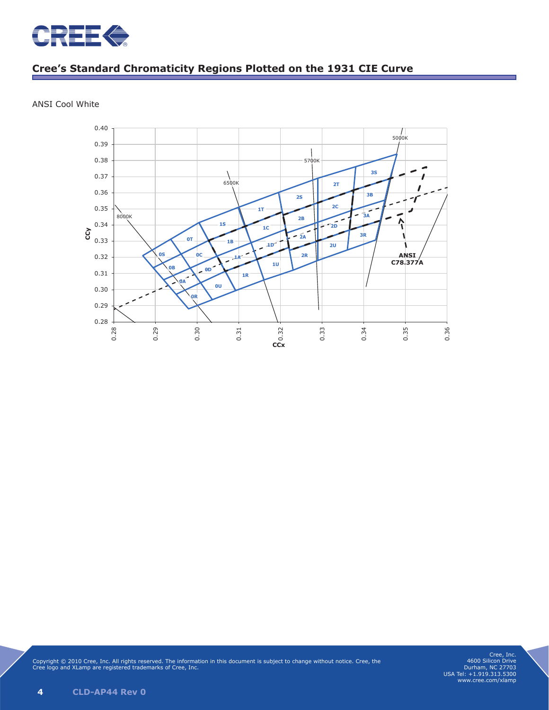<span id="page-3-0"></span>

# **Cree's Standard Chromaticity Regions Plotted on the 1931 CIE Curve**



ANSI Cool White

Copyright © 2010 Cree, Inc. All rights reserved. The information in this document is subject to change without notice. Cree, the Cree logo and XLamp are registered trademarks of Cree, Inc.

Cree, Inc. 4600 Silicon Drive Durham, NC 27703 USA Tel: +1.919.313.5300 www.cree.com/xlamp